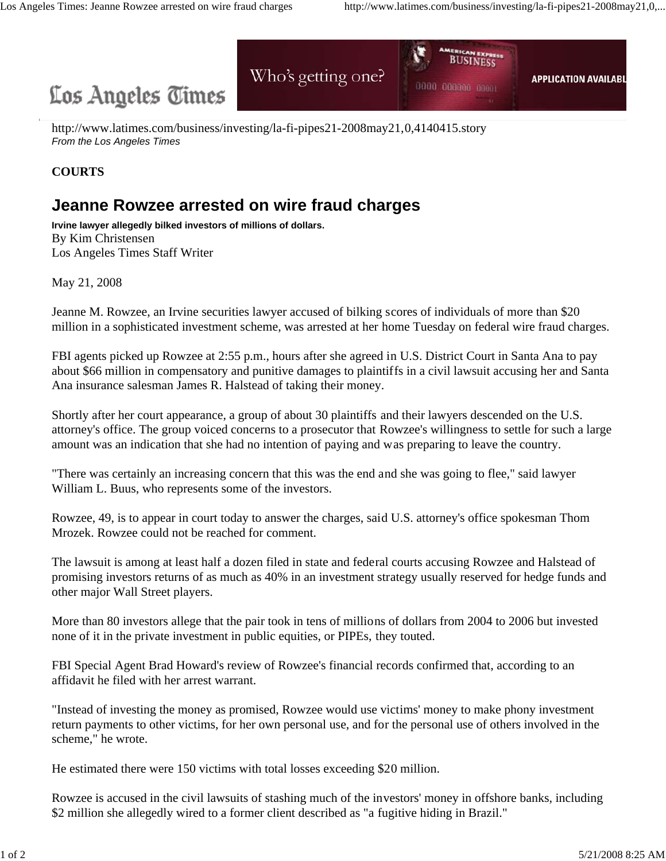



http://www.latimes.com/business/investing/la-fi-pipes21-2008may21,0,4140415.story *From the Los Angeles Times*

## **COURTS**

## **Jeanne Rowzee arrested on wire fraud charges**

**Irvine lawyer allegedly bilked investors of millions of dollars.** By Kim Christensen Los Angeles Times Staff Writer

May 21, 2008

Jeanne M. Rowzee, an Irvine securities lawyer accused of bilking scores of individuals of more than \$20 million in a sophisticated investment scheme, was arrested at her home Tuesday on federal wire fraud charges.

FBI agents picked up Rowzee at 2:55 p.m., hours after she agreed in U.S. District Court in Santa Ana to pay about \$66 million in compensatory and punitive damages to plaintiffs in a civil lawsuit accusing her and Santa Ana insurance salesman James R. Halstead of taking their money.

Shortly after her court appearance, a group of about 30 plaintiffs and their lawyers descended on the U.S. attorney's office. The group voiced concerns to a prosecutor that Rowzee's willingness to settle for such a large amount was an indication that she had no intention of paying and was preparing to leave the country.

"There was certainly an increasing concern that this was the end and she was going to flee," said lawyer William L. Buus, who represents some of the investors.

Rowzee, 49, is to appear in court today to answer the charges, said U.S. attorney's office spokesman Thom Mrozek. Rowzee could not be reached for comment.

The lawsuit is among at least half a dozen filed in state and federal courts accusing Rowzee and Halstead of promising investors returns of as much as 40% in an investment strategy usually reserved for hedge funds and other major Wall Street players.

More than 80 investors allege that the pair took in tens of millions of dollars from 2004 to 2006 but invested none of it in the private investment in public equities, or PIPEs, they touted.

FBI Special Agent Brad Howard's review of Rowzee's financial records confirmed that, according to an affidavit he filed with her arrest warrant.

"Instead of investing the money as promised, Rowzee would use victims' money to make phony investment return payments to other victims, for her own personal use, and for the personal use of others involved in the scheme," he wrote.

He estimated there were 150 victims with total losses exceeding \$20 million.

Rowzee is accused in the civil lawsuits of stashing much of the investors' money in offshore banks, including \$2 million she allegedly wired to a former client described as "a fugitive hiding in Brazil."